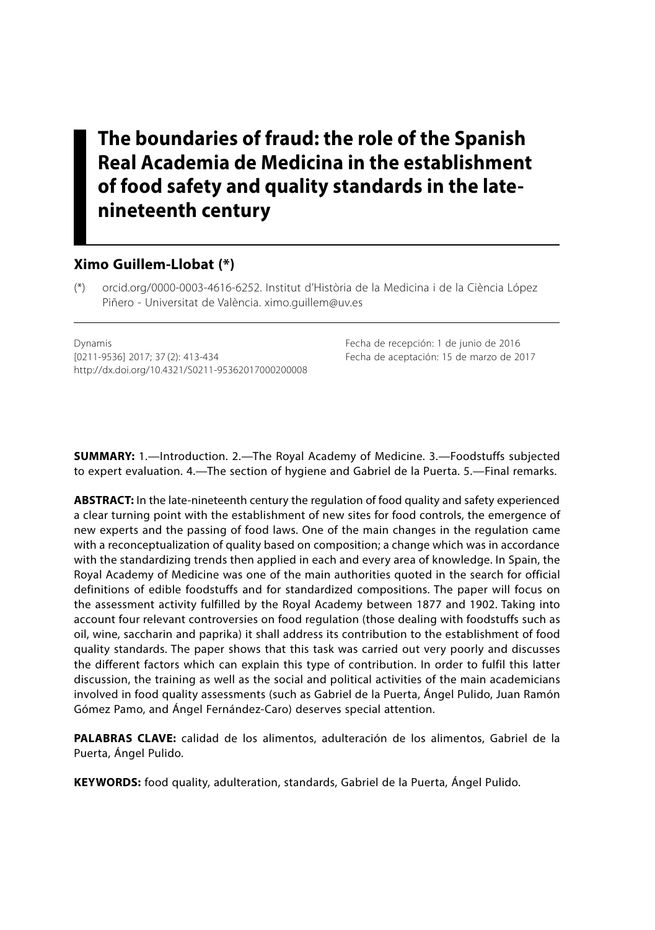# **The boundaries of fraud: the role of the Spanish Real Academia de Medicina in the establishment of food safety and quality standards in the latenineteenth century**

#### **Ximo Guillem-Llobat (\*)**

(\*) orcid.org/0000-0003-4616-6252. Institut d'Història de la Medicina i de la Ciència López Piñero - Universitat de València. ximo.guillem@uv.es

Dynamis Fecha de recepción: 1 de junio de 2016 [0211-9536] 2017; 37 (2): 413-434 Fecha de aceptación: 15 de marzo de 2017 http://dx.doi.org/10.4321/S0211-95362017000200008

**SUMMARY:** 1.—Introduction. 2.—The Royal Academy of Medicine. 3.—Foodstuffs subjected to expert evaluation. 4.—The section of hygiene and Gabriel de la Puerta. 5.—Final remarks.

**ABSTRACT:** In the late-nineteenth century the regulation of food quality and safety experienced a clear turning point with the establishment of new sites for food controls, the emergence of new experts and the passing of food laws. One of the main changes in the regulation came with a reconceptualization of quality based on composition; a change which was in accordance with the standardizing trends then applied in each and every area of knowledge. In Spain, the Royal Academy of Medicine was one of the main authorities quoted in the search for official definitions of edible foodstuffs and for standardized compositions. The paper will focus on the assessment activity fulfilled by the Royal Academy between 1877 and 1902. Taking into account four relevant controversies on food regulation (those dealing with foodstuffs such as oil, wine, saccharin and paprika) it shall address its contribution to the establishment of food quality standards. The paper shows that this task was carried out very poorly and discusses the different factors which can explain this type of contribution. In order to fulfil this latter discussion, the training as well as the social and political activities of the main academicians involved in food quality assessments (such as Gabriel de la Puerta, Ángel Pulido, Juan Ramón Gómez Pamo, and Ángel Fernández-Caro) deserves special attention.

**PALABRAS CLAVE:** calidad de los alimentos, adulteración de los alimentos, Gabriel de la Puerta, Ángel Pulido.

**KEYWORDS:** food quality, adulteration, standards, Gabriel de la Puerta, Ángel Pulido.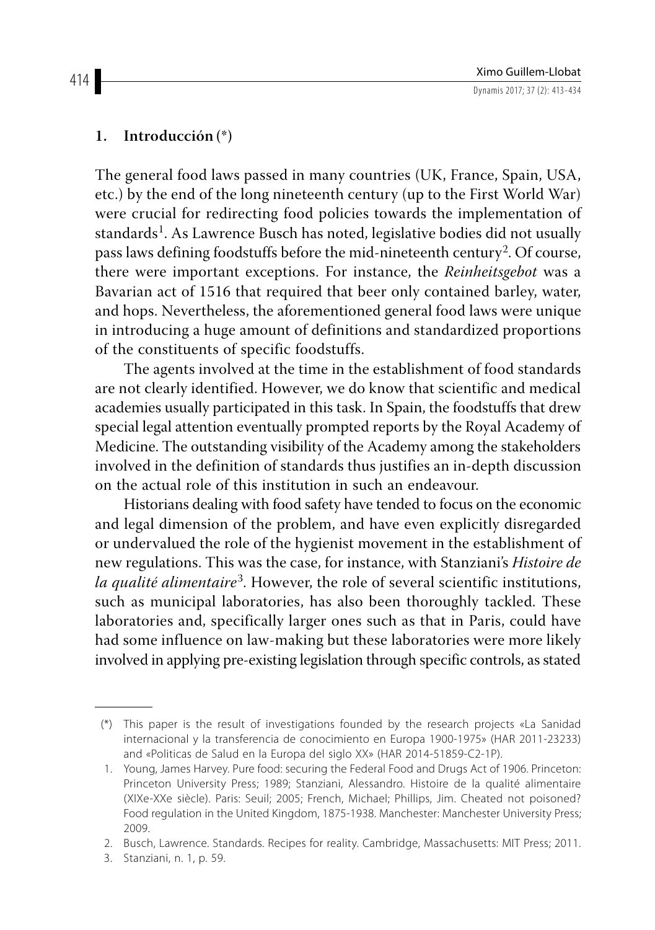## **1. Introducción (\*)**

The general food laws passed in many countries (UK, France, Spain, USA, etc.) by the end of the long nineteenth century (up to the First World War) were crucial for redirecting food policies towards the implementation of standards<sup>1</sup>. As Lawrence Busch has noted, legislative bodies did not usually pass laws defining foodstuffs before the mid-nineteenth century<sup>2</sup>. Of course, there were important exceptions. For instance, the *Reinheitsgebot* was a Bavarian act of 1516 that required that beer only contained barley, water, and hops. Nevertheless, the aforementioned general food laws were unique in introducing a huge amount of definitions and standardized proportions of the constituents of specific foodstuffs.

The agents involved at the time in the establishment of food standards are not clearly identified. However, we do know that scientific and medical academies usually participated in this task. In Spain, the foodstuffs that drew special legal attention eventually prompted reports by the Royal Academy of Medicine. The outstanding visibility of the Academy among the stakeholders involved in the definition of standards thus justifies an in-depth discussion on the actual role of this institution in such an endeavour.

Historians dealing with food safety have tended to focus on the economic and legal dimension of the problem, and have even explicitly disregarded or undervalued the role of the hygienist movement in the establishment of new regulations. This was the case, for instance, with Stanziani's *Histoire de la qualité alimentaire*3. However, the role of several scientific institutions, such as municipal laboratories, has also been thoroughly tackled. These laboratories and, specifically larger ones such as that in Paris, could have had some influence on law-making but these laboratories were more likely involved in applying pre-existing legislation through specific controls, as stated

<sup>(\*)</sup> This paper is the result of investigations founded by the research projects «La Sanidad internacional y la transferencia de conocimiento en Europa 1900-1975» (HAR 2011-23233) and «Politicas de Salud en la Europa del siglo XX» (HAR 2014-51859-C2-1P).

<sup>1.</sup> Young, James Harvey. Pure food: securing the Federal Food and Drugs Act of 1906. Princeton: Princeton University Press; 1989; Stanziani, Alessandro. Histoire de la qualité alimentaire (XIXe-XXe siècle). Paris: Seuil; 2005; French, Michael; Phillips, Jim. Cheated not poisoned? Food regulation in the United Kingdom, 1875-1938. Manchester: Manchester University Press; 2009.

<sup>2.</sup> Busch, Lawrence. Standards. Recipes for reality. Cambridge, Massachusetts: MIT Press; 2011.

<sup>3.</sup> Stanziani, n. 1, p. 59.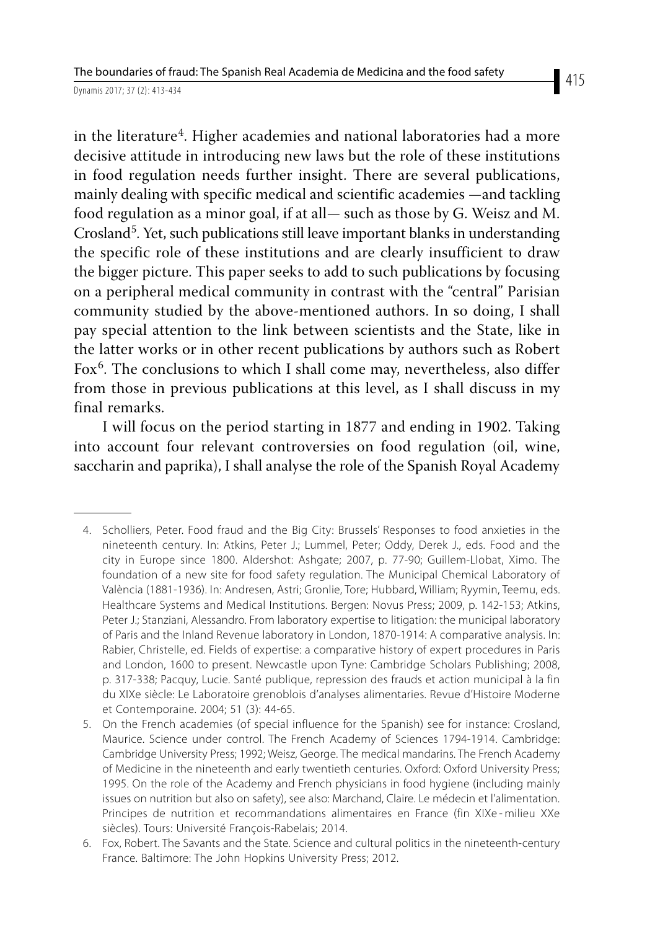in the literature<sup>4</sup>. Higher academies and national laboratories had a more decisive attitude in introducing new laws but the role of these institutions in food regulation needs further insight. There are several publications, mainly dealing with specific medical and scientific academies —and tackling food regulation as a minor goal, if at all— such as those by G. Weisz and M. Crosland<sup>5</sup>. Yet, such publications still leave important blanks in understanding the specific role of these institutions and are clearly insufficient to draw the bigger picture. This paper seeks to add to such publications by focusing on a peripheral medical community in contrast with the "central" Parisian community studied by the above-mentioned authors. In so doing, I shall pay special attention to the link between scientists and the State, like in the latter works or in other recent publications by authors such as Robert Fox<sup>6</sup>. The conclusions to which I shall come may, nevertheless, also differ from those in previous publications at this level, as I shall discuss in my final remarks.

I will focus on the period starting in 1877 and ending in 1902. Taking into account four relevant controversies on food regulation (oil, wine, saccharin and paprika), I shall analyse the role of the Spanish Royal Academy

<sup>4.</sup> Scholliers, Peter. Food fraud and the Big City: Brussels' Responses to food anxieties in the nineteenth century. In: Atkins, Peter J.; Lummel, Peter; Oddy, Derek J., eds. Food and the city in Europe since 1800. Aldershot: Ashgate; 2007, p. 77-90; Guillem-Llobat, Ximo. The foundation of a new site for food safety regulation. The Municipal Chemical Laboratory of València (1881-1936). In: Andresen, Astri; Gronlie, Tore; Hubbard, William; Ryymin, Teemu, eds. Healthcare Systems and Medical Institutions. Bergen: Novus Press; 2009, p. 142-153; Atkins, Peter J.; Stanziani, Alessandro. From laboratory expertise to litigation: the municipal laboratory of Paris and the Inland Revenue laboratory in London, 1870-1914: A comparative analysis. In: Rabier, Christelle, ed. Fields of expertise: a comparative history of expert procedures in Paris and London, 1600 to present. Newcastle upon Tyne: Cambridge Scholars Publishing; 2008, p. 317-338; Pacquy, Lucie. Santé publique, repression des frauds et action municipal à la fin du XIXe siècle: Le Laboratoire grenoblois d'analyses alimentaries. Revue d'Histoire Moderne et Contemporaine. 2004; 51 (3): 44-65.

<sup>5.</sup> On the French academies (of special influence for the Spanish) see for instance: Crosland, Maurice. Science under control. The French Academy of Sciences 1794-1914. Cambridge: Cambridge University Press; 1992; Weisz, George. The medical mandarins. The French Academy of Medicine in the nineteenth and early twentieth centuries. Oxford: Oxford University Press; 1995. On the role of the Academy and French physicians in food hygiene (including mainly issues on nutrition but also on safety), see also: Marchand, Claire. Le médecin et l'alimentation. Principes de nutrition et recommandations alimentaires en France (fin XIXe-milieu XXe siècles). Tours: Université François-Rabelais; 2014.

<sup>6.</sup> Fox, Robert. The Savants and the State. Science and cultural politics in the nineteenth-century France. Baltimore: The John Hopkins University Press; 2012.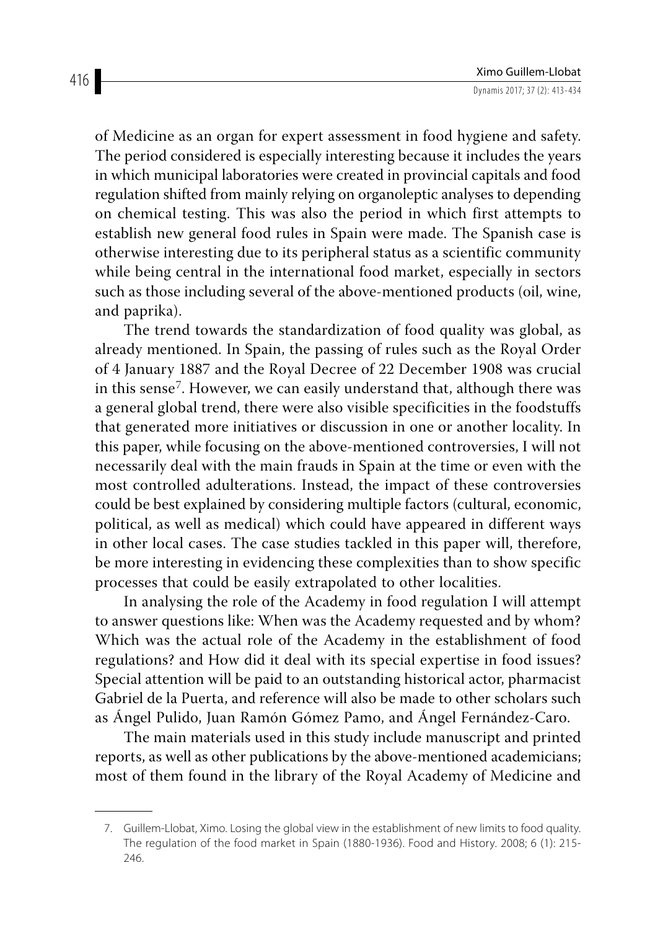of Medicine as an organ for expert assessment in food hygiene and safety. The period considered is especially interesting because it includes the years in which municipal laboratories were created in provincial capitals and food regulation shifted from mainly relying on organoleptic analyses to depending on chemical testing. This was also the period in which first attempts to establish new general food rules in Spain were made. The Spanish case is otherwise interesting due to its peripheral status as a scientific community while being central in the international food market, especially in sectors such as those including several of the above-mentioned products (oil, wine, and paprika).

The trend towards the standardization of food quality was global, as already mentioned. In Spain, the passing of rules such as the Royal Order of 4 January 1887 and the Royal Decree of 22 December 1908 was crucial in this sense<sup>7</sup>. However, we can easily understand that, although there was a general global trend, there were also visible specificities in the foodstuffs that generated more initiatives or discussion in one or another locality. In this paper, while focusing on the above-mentioned controversies, I will not necessarily deal with the main frauds in Spain at the time or even with the most controlled adulterations. Instead, the impact of these controversies could be best explained by considering multiple factors (cultural, economic, political, as well as medical) which could have appeared in different ways in other local cases. The case studies tackled in this paper will, therefore, be more interesting in evidencing these complexities than to show specific processes that could be easily extrapolated to other localities.

In analysing the role of the Academy in food regulation I will attempt to answer questions like: When was the Academy requested and by whom? Which was the actual role of the Academy in the establishment of food regulations? and How did it deal with its special expertise in food issues? Special attention will be paid to an outstanding historical actor, pharmacist Gabriel de la Puerta, and reference will also be made to other scholars such as Ángel Pulido, Juan Ramón Gómez Pamo, and Ángel Fernández-Caro.

The main materials used in this study include manuscript and printed reports, as well as other publications by the above-mentioned academicians; most of them found in the library of the Royal Academy of Medicine and

<sup>7.</sup> Guillem-Llobat, Ximo. Losing the global view in the establishment of new limits to food quality. The regulation of the food market in Spain (1880-1936). Food and History. 2008; 6 (1): 215- 246.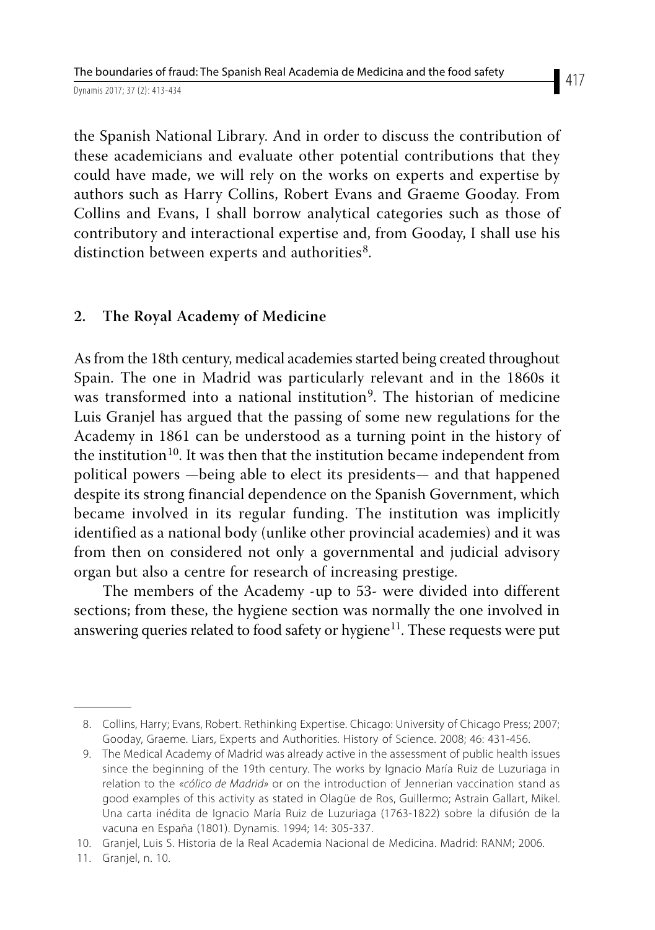the Spanish National Library. And in order to discuss the contribution of these academicians and evaluate other potential contributions that they could have made, we will rely on the works on experts and expertise by authors such as Harry Collins, Robert Evans and Graeme Gooday. From Collins and Evans, I shall borrow analytical categories such as those of contributory and interactional expertise and, from Gooday, I shall use his distinction between experts and authorities<sup>8</sup>.

### **2. The Royal Academy of Medicine**

As from the 18th century, medical academies started being created throughout Spain. The one in Madrid was particularly relevant and in the 1860s it was transformed into a national institution<sup>9</sup>. The historian of medicine Luis Granjel has argued that the passing of some new regulations for the Academy in 1861 can be understood as a turning point in the history of the institution<sup>10</sup>. It was then that the institution became independent from political powers —being able to elect its presidents— and that happened despite its strong financial dependence on the Spanish Government, which became involved in its regular funding. The institution was implicitly identified as a national body (unlike other provincial academies) and it was from then on considered not only a governmental and judicial advisory organ but also a centre for research of increasing prestige.

The members of the Academy -up to 53- were divided into different sections; from these, the hygiene section was normally the one involved in answering queries related to food safety or hygiene<sup>11</sup>. These requests were put

<sup>8.</sup> Collins, Harry; Evans, Robert. Rethinking Expertise. Chicago: University of Chicago Press; 2007; Gooday, Graeme. Liars, Experts and Authorities. History of Science. 2008; 46: 431-456.

<sup>9.</sup> The Medical Academy of Madrid was already active in the assessment of public health issues since the beginning of the 19th century. The works by Ignacio María Ruiz de Luzuriaga in relation to the *«cólico de Madrid»* or on the introduction of Jennerian vaccination stand as good examples of this activity as stated in Olagüe de Ros, Guillermo; Astrain Gallart, Mikel. Una carta inédita de Ignacio María Ruiz de Luzuriaga (1763-1822) sobre la difusión de la vacuna en España (1801). Dynamis. 1994; 14: 305-337.

<sup>10.</sup> Granjel, Luis S. Historia de la Real Academia Nacional de Medicina. Madrid: RANM; 2006.

<sup>11.</sup> Granjel, n. 10.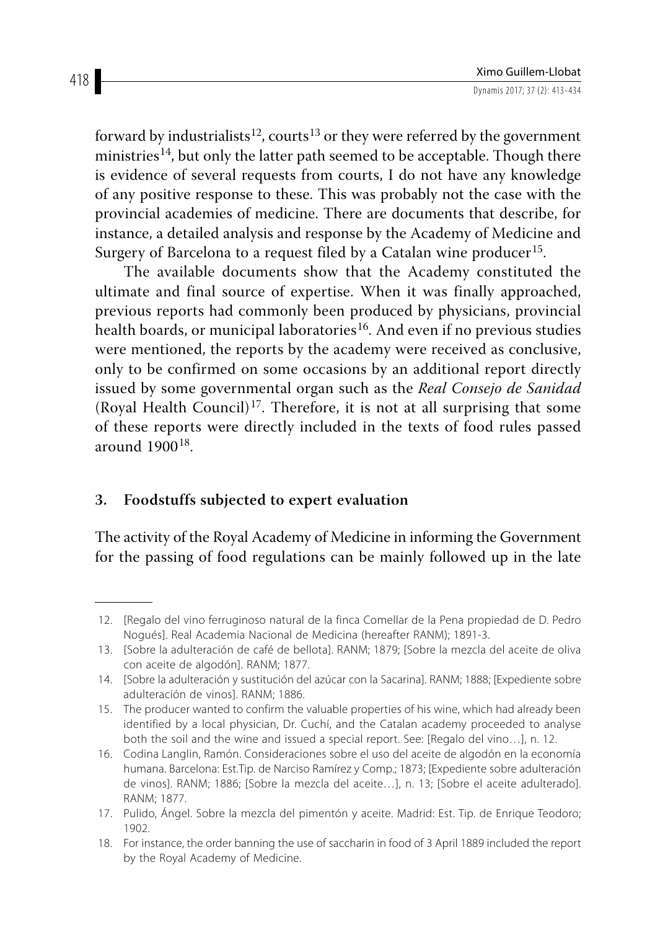forward by industrialists<sup>12</sup>, courts<sup>13</sup> or they were referred by the government ministries<sup>14</sup>, but only the latter path seemed to be acceptable. Though there is evidence of several requests from courts, I do not have any knowledge of any positive response to these. This was probably not the case with the provincial academies of medicine. There are documents that describe, for instance, a detailed analysis and response by the Academy of Medicine and Surgery of Barcelona to a request filed by a Catalan wine producer<sup>15</sup>.

The available documents show that the Academy constituted the ultimate and final source of expertise. When it was finally approached, previous reports had commonly been produced by physicians, provincial health boards, or municipal laboratories<sup>16</sup>. And even if no previous studies were mentioned, the reports by the academy were received as conclusive, only to be confirmed on some occasions by an additional report directly issued by some governmental organ such as the *Real Consejo de Sanidad* (Royal Health Council)<sup>17</sup>. Therefore, it is not at all surprising that some of these reports were directly included in the texts of food rules passed around 190018.

# **3. Foodstuffs subjected to expert evaluation**

The activity of the Royal Academy of Medicine in informing the Government for the passing of food regulations can be mainly followed up in the late

<sup>12.</sup> [Regalo del vino ferruginoso natural de la finca Comellar de la Pena propiedad de D. Pedro Nogués]. Real Academia Nacional de Medicina (hereafter RANM); 1891-3.

<sup>13.</sup> [Sobre la adulteración de café de bellota]. RANM; 1879; [Sobre la mezcla del aceite de oliva con aceite de algodón]. RANM; 1877.

<sup>14.</sup> [Sobre la adulteración y sustitución del azúcar con la Sacarina]. RANM; 1888; [Expediente sobre adulteración de vinos]. RANM; 1886.

<sup>15.</sup> The producer wanted to confirm the valuable properties of his wine, which had already been identified by a local physician, Dr. Cuchí, and the Catalan academy proceeded to analyse both the soil and the wine and issued a special report. See: [Regalo del vino…], n. 12.

<sup>16.</sup> Codina Langlin, Ramón. Consideraciones sobre el uso del aceite de algodón en la economía humana. Barcelona: Est.Tip. de Narciso Ramírez y Comp.; 1873; [Expediente sobre adulteración de vinos]. RANM; 1886; [Sobre la mezcla del aceite…], n. 13; [Sobre el aceite adulterado]. RANM; 1877.

<sup>17.</sup> Pulido, Ángel. Sobre la mezcla del pimentón y aceite. Madrid: Est. Tip. de Enrique Teodoro; 1902.

<sup>18.</sup> For instance, the order banning the use of saccharin in food of 3 April 1889 included the report by the Royal Academy of Medicine.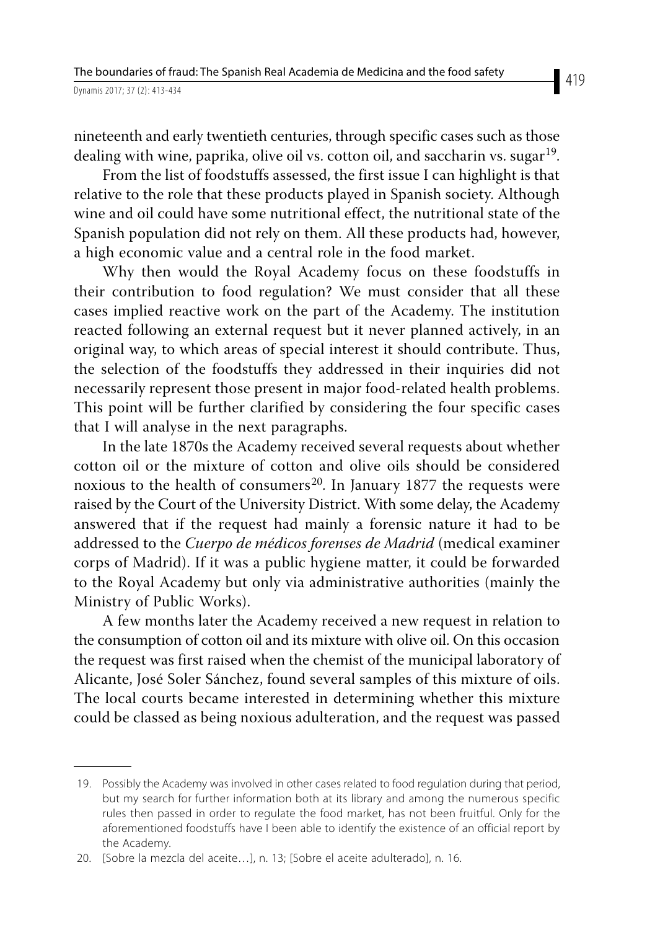nineteenth and early twentieth centuries, through specific cases such as those dealing with wine, paprika, olive oil vs. cotton oil, and saccharin vs. sugar<sup>19</sup>.

From the list of foodstuffs assessed, the first issue I can highlight is that relative to the role that these products played in Spanish society. Although wine and oil could have some nutritional effect, the nutritional state of the Spanish population did not rely on them. All these products had, however, a high economic value and a central role in the food market.

Why then would the Royal Academy focus on these foodstuffs in their contribution to food regulation? We must consider that all these cases implied reactive work on the part of the Academy. The institution reacted following an external request but it never planned actively, in an original way, to which areas of special interest it should contribute. Thus, the selection of the foodstuffs they addressed in their inquiries did not necessarily represent those present in major food-related health problems. This point will be further clarified by considering the four specific cases that I will analyse in the next paragraphs.

In the late 1870s the Academy received several requests about whether cotton oil or the mixture of cotton and olive oils should be considered noxious to the health of consumers<sup>20</sup>. In January 1877 the requests were raised by the Court of the University District. With some delay, the Academy answered that if the request had mainly a forensic nature it had to be addressed to the *Cuerpo de médicos forenses de Madrid* (medical examiner corps of Madrid). If it was a public hygiene matter, it could be forwarded to the Royal Academy but only via administrative authorities (mainly the Ministry of Public Works).

A few months later the Academy received a new request in relation to the consumption of cotton oil and its mixture with olive oil. On this occasion the request was first raised when the chemist of the municipal laboratory of Alicante, José Soler Sánchez, found several samples of this mixture of oils. The local courts became interested in determining whether this mixture could be classed as being noxious adulteration, and the request was passed

<sup>19.</sup> Possibly the Academy was involved in other cases related to food regulation during that period, but my search for further information both at its library and among the numerous specific rules then passed in order to regulate the food market, has not been fruitful. Only for the aforementioned foodstuffs have I been able to identify the existence of an official report by the Academy.

<sup>20.</sup> [Sobre la mezcla del aceite…], n. 13; [Sobre el aceite adulterado], n. 16.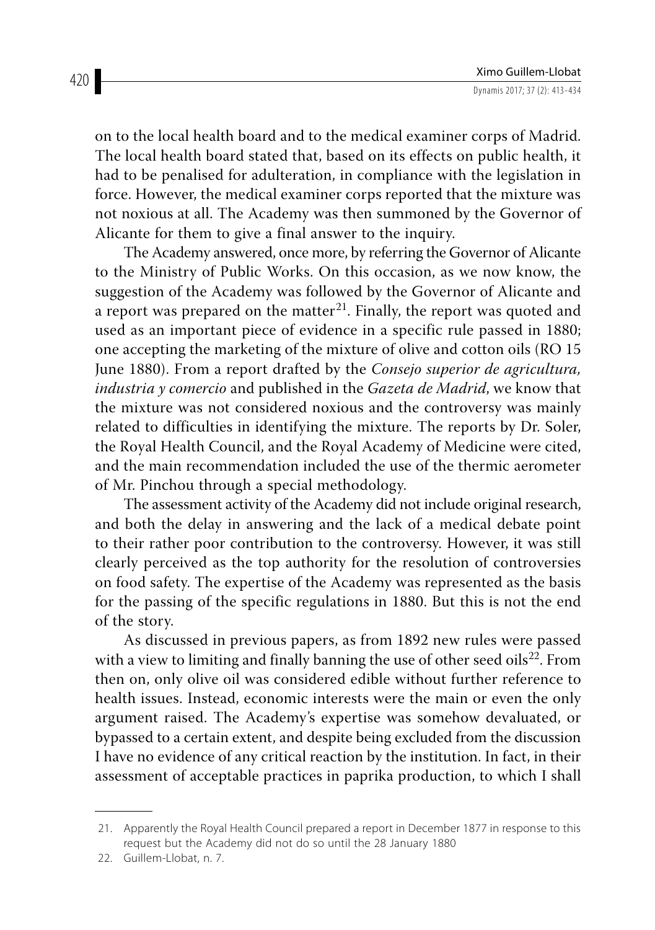on to the local health board and to the medical examiner corps of Madrid. The local health board stated that, based on its effects on public health, it had to be penalised for adulteration, in compliance with the legislation in force. However, the medical examiner corps reported that the mixture was not noxious at all. The Academy was then summoned by the Governor of Alicante for them to give a final answer to the inquiry.

The Academy answered, once more, by referring the Governor of Alicante to the Ministry of Public Works. On this occasion, as we now know, the suggestion of the Academy was followed by the Governor of Alicante and a report was prepared on the matter<sup>21</sup>. Finally, the report was quoted and used as an important piece of evidence in a specific rule passed in 1880; one accepting the marketing of the mixture of olive and cotton oils (RO 15 June 1880). From a report drafted by the *Consejo superior de agricultura, industria y comercio* and published in the *Gazeta de Madrid*, we know that the mixture was not considered noxious and the controversy was mainly related to difficulties in identifying the mixture. The reports by Dr. Soler, the Royal Health Council, and the Royal Academy of Medicine were cited, and the main recommendation included the use of the thermic aerometer of Mr. Pinchou through a special methodology.

The assessment activity of the Academy did not include original research, and both the delay in answering and the lack of a medical debate point to their rather poor contribution to the controversy. However, it was still clearly perceived as the top authority for the resolution of controversies on food safety. The expertise of the Academy was represented as the basis for the passing of the specific regulations in 1880. But this is not the end of the story.

As discussed in previous papers, as from 1892 new rules were passed with a view to limiting and finally banning the use of other seed oils<sup>22</sup>. From then on, only olive oil was considered edible without further reference to health issues. Instead, economic interests were the main or even the only argument raised. The Academy's expertise was somehow devaluated, or bypassed to a certain extent, and despite being excluded from the discussion I have no evidence of any critical reaction by the institution. In fact, in their assessment of acceptable practices in paprika production, to which I shall

<sup>21.</sup> Apparently the Royal Health Council prepared a report in December 1877 in response to this request but the Academy did not do so until the 28 January 1880

<sup>22.</sup> Guillem-Llobat, n. 7.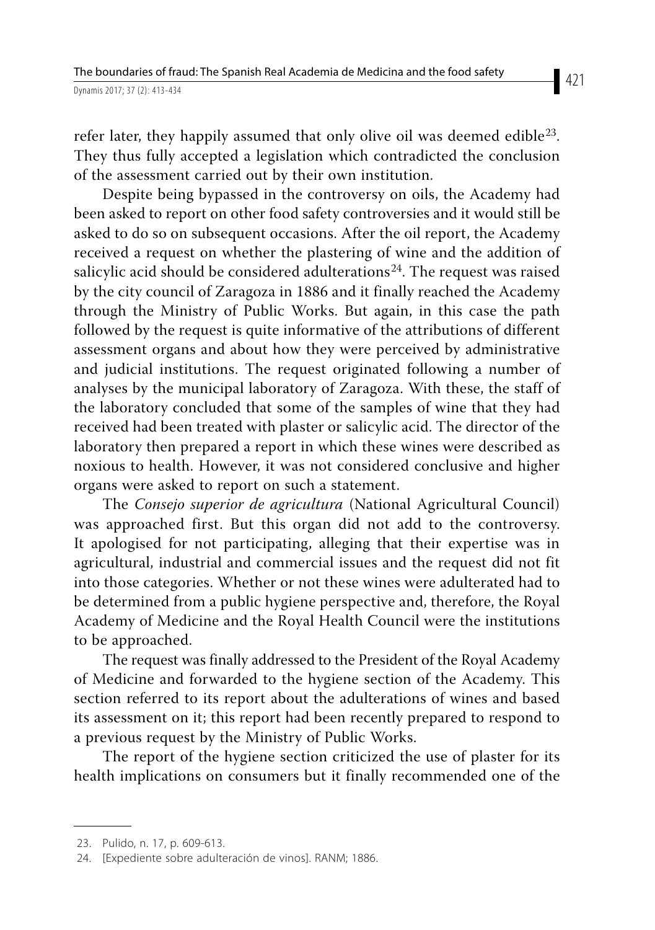refer later, they happily assumed that only olive oil was deemed edible<sup>23</sup>. They thus fully accepted a legislation which contradicted the conclusion of the assessment carried out by their own institution.

Despite being bypassed in the controversy on oils, the Academy had been asked to report on other food safety controversies and it would still be asked to do so on subsequent occasions. After the oil report, the Academy received a request on whether the plastering of wine and the addition of salicylic acid should be considered adulterations<sup>24</sup>. The request was raised by the city council of Zaragoza in 1886 and it finally reached the Academy through the Ministry of Public Works. But again, in this case the path followed by the request is quite informative of the attributions of different assessment organs and about how they were perceived by administrative and judicial institutions. The request originated following a number of analyses by the municipal laboratory of Zaragoza. With these, the staff of the laboratory concluded that some of the samples of wine that they had received had been treated with plaster or salicylic acid. The director of the laboratory then prepared a report in which these wines were described as noxious to health. However, it was not considered conclusive and higher organs were asked to report on such a statement.

The *Consejo superior de agricultura* (National Agricultural Council) was approached first. But this organ did not add to the controversy. It apologised for not participating, alleging that their expertise was in agricultural, industrial and commercial issues and the request did not fit into those categories. Whether or not these wines were adulterated had to be determined from a public hygiene perspective and, therefore, the Royal Academy of Medicine and the Royal Health Council were the institutions to be approached.

The request was finally addressed to the President of the Royal Academy of Medicine and forwarded to the hygiene section of the Academy. This section referred to its report about the adulterations of wines and based its assessment on it; this report had been recently prepared to respond to a previous request by the Ministry of Public Works.

The report of the hygiene section criticized the use of plaster for its health implications on consumers but it finally recommended one of the

<sup>23.</sup> Pulido, n. 17, p. 609-613.

<sup>24.</sup> [Expediente sobre adulteración de vinos]. RANM; 1886.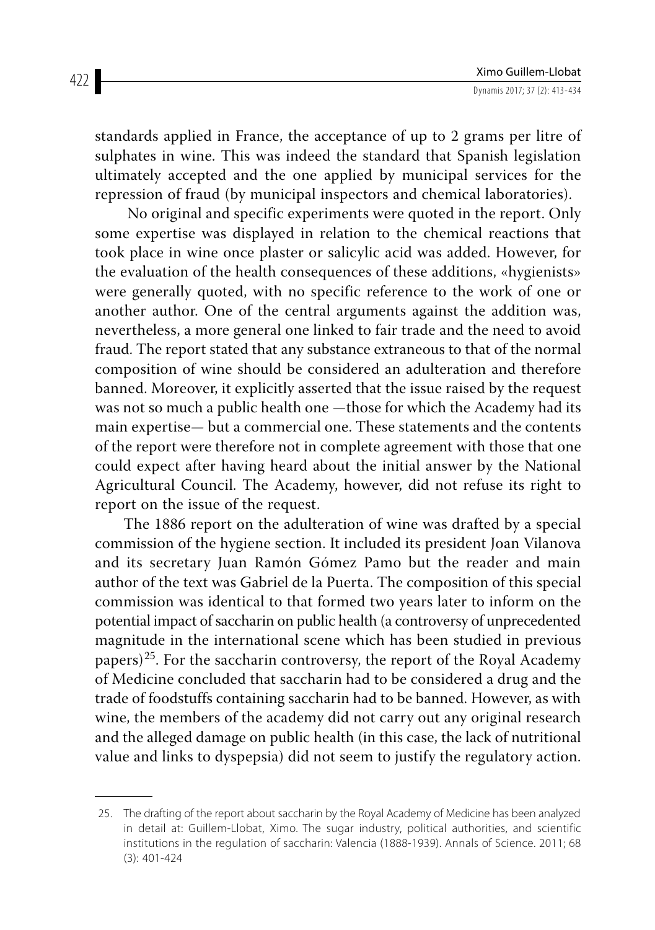standards applied in France, the acceptance of up to 2 grams per litre of sulphates in wine. This was indeed the standard that Spanish legislation ultimately accepted and the one applied by municipal services for the repression of fraud (by municipal inspectors and chemical laboratories).

 No original and specific experiments were quoted in the report. Only some expertise was displayed in relation to the chemical reactions that took place in wine once plaster or salicylic acid was added. However, for the evaluation of the health consequences of these additions, «hygienists» were generally quoted, with no specific reference to the work of one or another author. One of the central arguments against the addition was, nevertheless, a more general one linked to fair trade and the need to avoid fraud. The report stated that any substance extraneous to that of the normal composition of wine should be considered an adulteration and therefore banned. Moreover, it explicitly asserted that the issue raised by the request was not so much a public health one —those for which the Academy had its main expertise— but a commercial one. These statements and the contents of the report were therefore not in complete agreement with those that one could expect after having heard about the initial answer by the National Agricultural Council. The Academy, however, did not refuse its right to report on the issue of the request.

The 1886 report on the adulteration of wine was drafted by a special commission of the hygiene section. It included its president Joan Vilanova and its secretary Juan Ramón Gómez Pamo but the reader and main author of the text was Gabriel de la Puerta. The composition of this special commission was identical to that formed two years later to inform on the potential impact of saccharin on public health (a controversy of unprecedented magnitude in the international scene which has been studied in previous papers)<sup>25</sup>. For the saccharin controversy, the report of the Royal Academy of Medicine concluded that saccharin had to be considered a drug and the trade of foodstuffs containing saccharin had to be banned. However, as with wine, the members of the academy did not carry out any original research and the alleged damage on public health (in this case, the lack of nutritional value and links to dyspepsia) did not seem to justify the regulatory action.

<sup>25.</sup> The drafting of the report about saccharin by the Royal Academy of Medicine has been analyzed in detail at: Guillem-Llobat, Ximo. The sugar industry, political authorities, and scientific institutions in the regulation of saccharin: Valencia (1888-1939). Annals of Science. 2011; 68 (3): 401-424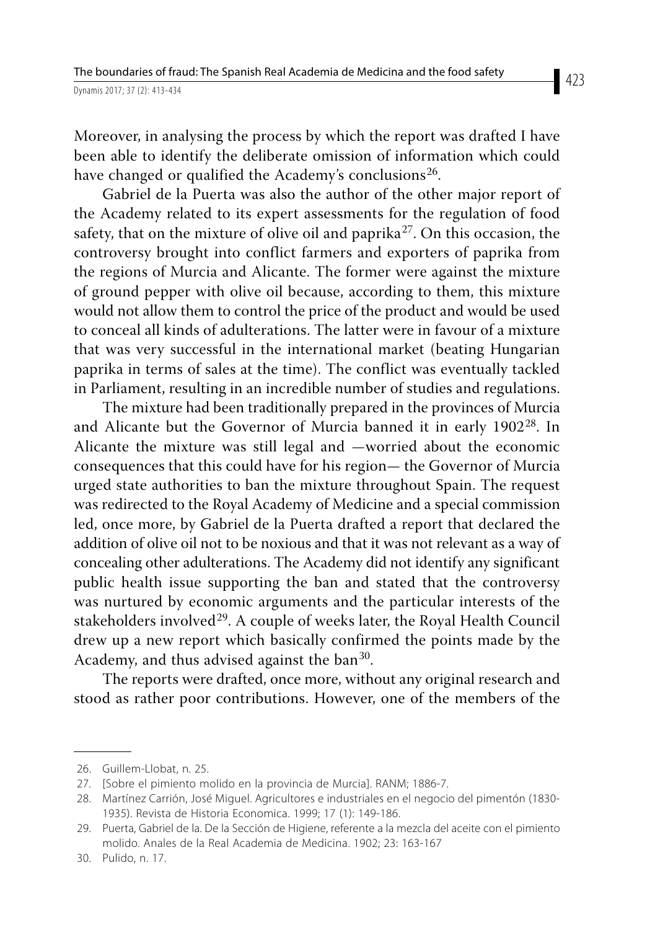Moreover, in analysing the process by which the report was drafted I have been able to identify the deliberate omission of information which could have changed or qualified the Academy's conclusions<sup>26</sup>.

Gabriel de la Puerta was also the author of the other major report of the Academy related to its expert assessments for the regulation of food safety, that on the mixture of olive oil and paprika<sup>27</sup>. On this occasion, the controversy brought into conflict farmers and exporters of paprika from the regions of Murcia and Alicante. The former were against the mixture of ground pepper with olive oil because, according to them, this mixture would not allow them to control the price of the product and would be used to conceal all kinds of adulterations. The latter were in favour of a mixture that was very successful in the international market (beating Hungarian paprika in terms of sales at the time). The conflict was eventually tackled in Parliament, resulting in an incredible number of studies and regulations.

The mixture had been traditionally prepared in the provinces of Murcia and Alicante but the Governor of Murcia banned it in early 1902<sup>28</sup>. In Alicante the mixture was still legal and —worried about the economic consequences that this could have for his region— the Governor of Murcia urged state authorities to ban the mixture throughout Spain. The request was redirected to the Royal Academy of Medicine and a special commission led, once more, by Gabriel de la Puerta drafted a report that declared the addition of olive oil not to be noxious and that it was not relevant as a way of concealing other adulterations. The Academy did not identify any significant public health issue supporting the ban and stated that the controversy was nurtured by economic arguments and the particular interests of the stakeholders involved<sup>29</sup>. A couple of weeks later, the Royal Health Council drew up a new report which basically confirmed the points made by the Academy, and thus advised against the ban<sup>30</sup>.

The reports were drafted, once more, without any original research and stood as rather poor contributions. However, one of the members of the

<sup>26.</sup> Guillem-Llobat, n. 25.

<sup>27.</sup> [Sobre el pimiento molido en la provincia de Murcia]. RANM; 1886-7.

<sup>28.</sup> Martínez Carrión, José Miguel. Agricultores e industriales en el negocio del pimentón (1830- 1935). Revista de Historia Economica. 1999; 17 (1): 149-186.

<sup>29.</sup> Puerta, Gabriel de la. De la Sección de Higiene, referente a la mezcla del aceite con el pimiento molido. Anales de la Real Academia de Medicina. 1902; 23: 163-167

<sup>30.</sup> Pulido, n. 17.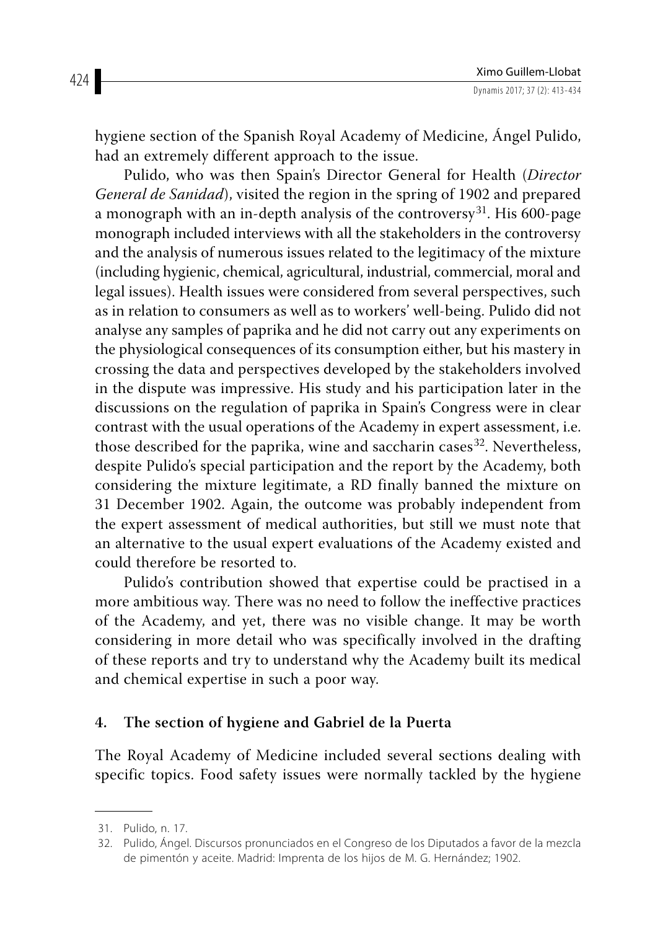hygiene section of the Spanish Royal Academy of Medicine, Ángel Pulido, had an extremely different approach to the issue.

Pulido, who was then Spain's Director General for Health (*Director General de Sanidad*), visited the region in the spring of 1902 and prepared a monograph with an in-depth analysis of the controversy<sup>31</sup>. His 600-page monograph included interviews with all the stakeholders in the controversy and the analysis of numerous issues related to the legitimacy of the mixture (including hygienic, chemical, agricultural, industrial, commercial, moral and legal issues). Health issues were considered from several perspectives, such as in relation to consumers as well as to workers' well-being. Pulido did not analyse any samples of paprika and he did not carry out any experiments on the physiological consequences of its consumption either, but his mastery in crossing the data and perspectives developed by the stakeholders involved in the dispute was impressive. His study and his participation later in the discussions on the regulation of paprika in Spain's Congress were in clear contrast with the usual operations of the Academy in expert assessment, i.e. those described for the paprika, wine and saccharin cases<sup>32</sup>. Nevertheless, despite Pulido's special participation and the report by the Academy, both considering the mixture legitimate, a RD finally banned the mixture on 31 December 1902. Again, the outcome was probably independent from the expert assessment of medical authorities, but still we must note that an alternative to the usual expert evaluations of the Academy existed and could therefore be resorted to.

Pulido's contribution showed that expertise could be practised in a more ambitious way. There was no need to follow the ineffective practices of the Academy, and yet, there was no visible change. It may be worth considering in more detail who was specifically involved in the drafting of these reports and try to understand why the Academy built its medical and chemical expertise in such a poor way.

### **4. The section of hygiene and Gabriel de la Puerta**

The Royal Academy of Medicine included several sections dealing with specific topics. Food safety issues were normally tackled by the hygiene

424

<sup>31.</sup> Pulido, n. 17.

<sup>32.</sup> Pulido, Ángel. Discursos pronunciados en el Congreso de los Diputados a favor de la mezcla de pimentón y aceite. Madrid: Imprenta de los hijos de M. G. Hernández; 1902.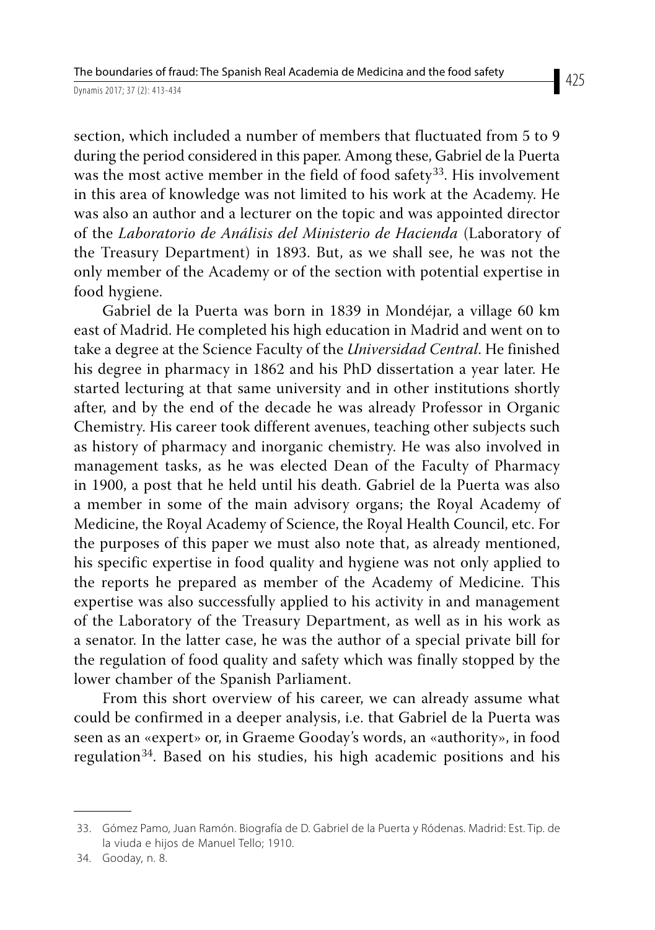section, which included a number of members that fluctuated from 5 to 9 during the period considered in this paper. Among these, Gabriel de la Puerta was the most active member in the field of food safety<sup>33</sup>. His involvement in this area of knowledge was not limited to his work at the Academy. He was also an author and a lecturer on the topic and was appointed director of the *Laboratorio de Análisis del Ministerio de Hacienda* (Laboratory of the Treasury Department) in 1893. But, as we shall see, he was not the only member of the Academy or of the section with potential expertise in food hygiene.

Gabriel de la Puerta was born in 1839 in Mondéjar, a village 60 km east of Madrid. He completed his high education in Madrid and went on to take a degree at the Science Faculty of the *Universidad Central*. He finished his degree in pharmacy in 1862 and his PhD dissertation a year later. He started lecturing at that same university and in other institutions shortly after, and by the end of the decade he was already Professor in Organic Chemistry. His career took different avenues, teaching other subjects such as history of pharmacy and inorganic chemistry. He was also involved in management tasks, as he was elected Dean of the Faculty of Pharmacy in 1900, a post that he held until his death. Gabriel de la Puerta was also a member in some of the main advisory organs; the Royal Academy of Medicine, the Royal Academy of Science, the Royal Health Council, etc. For the purposes of this paper we must also note that, as already mentioned, his specific expertise in food quality and hygiene was not only applied to the reports he prepared as member of the Academy of Medicine. This expertise was also successfully applied to his activity in and management of the Laboratory of the Treasury Department, as well as in his work as a senator. In the latter case, he was the author of a special private bill for the regulation of food quality and safety which was finally stopped by the lower chamber of the Spanish Parliament.

From this short overview of his career, we can already assume what could be confirmed in a deeper analysis, i.e. that Gabriel de la Puerta was seen as an «expert» or, in Graeme Gooday's words, an «authority», in food regulation<sup>34</sup>. Based on his studies, his high academic positions and his

<sup>33.</sup> Gómez Pamo, Juan Ramón. Biografía de D. Gabriel de la Puerta y Ródenas. Madrid: Est. Tip. de la viuda e hijos de Manuel Tello; 1910.

<sup>34.</sup> Gooday, n. 8.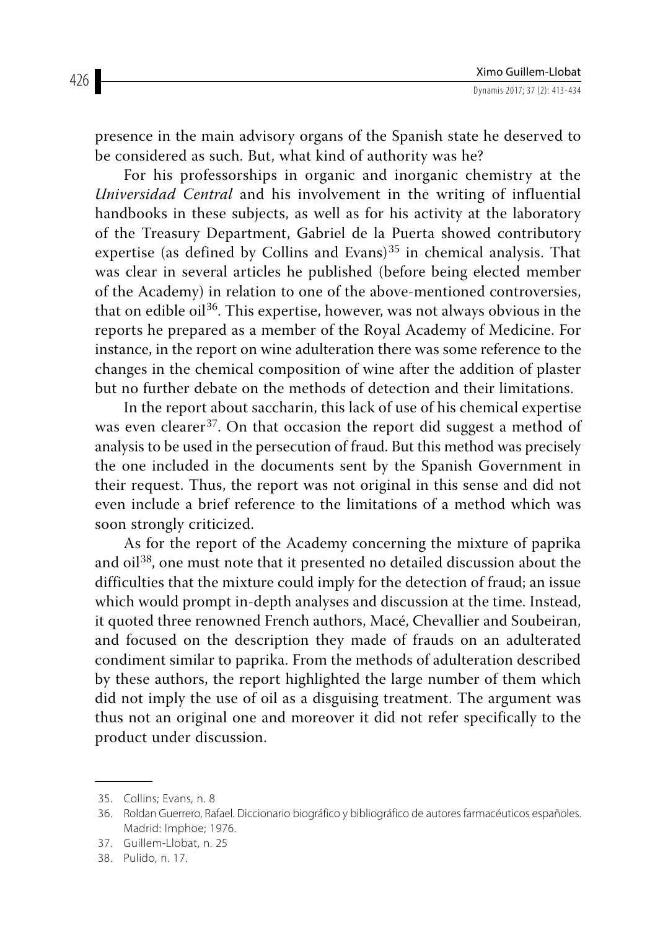presence in the main advisory organs of the Spanish state he deserved to be considered as such. But, what kind of authority was he?

For his professorships in organic and inorganic chemistry at the *Universidad Central* and his involvement in the writing of influential handbooks in these subjects, as well as for his activity at the laboratory of the Treasury Department, Gabriel de la Puerta showed contributory expertise (as defined by Collins and Evans) $35$  in chemical analysis. That was clear in several articles he published (before being elected member of the Academy) in relation to one of the above-mentioned controversies, that on edible  $\delta$ <sup>36</sup>. This expertise, however, was not always obvious in the reports he prepared as a member of the Royal Academy of Medicine. For instance, in the report on wine adulteration there was some reference to the changes in the chemical composition of wine after the addition of plaster but no further debate on the methods of detection and their limitations.

In the report about saccharin, this lack of use of his chemical expertise was even clearer<sup>37</sup>. On that occasion the report did suggest a method of analysis to be used in the persecution of fraud. But this method was precisely the one included in the documents sent by the Spanish Government in their request. Thus, the report was not original in this sense and did not even include a brief reference to the limitations of a method which was soon strongly criticized.

As for the report of the Academy concerning the mixture of paprika and oil38, one must note that it presented no detailed discussion about the difficulties that the mixture could imply for the detection of fraud; an issue which would prompt in-depth analyses and discussion at the time. Instead, it quoted three renowned French authors, Macé, Chevallier and Soubeiran, and focused on the description they made of frauds on an adulterated condiment similar to paprika. From the methods of adulteration described by these authors, the report highlighted the large number of them which did not imply the use of oil as a disguising treatment. The argument was thus not an original one and moreover it did not refer specifically to the product under discussion.

<sup>35.</sup> Collins; Evans, n. 8

<sup>36.</sup> Roldan Guerrero, Rafael. Diccionario biográfico y bibliográfico de autores farmacéuticos españoles. Madrid: Imphoe; 1976.

<sup>37.</sup> Guillem-Llobat, n. 25

<sup>38.</sup> Pulido, n. 17.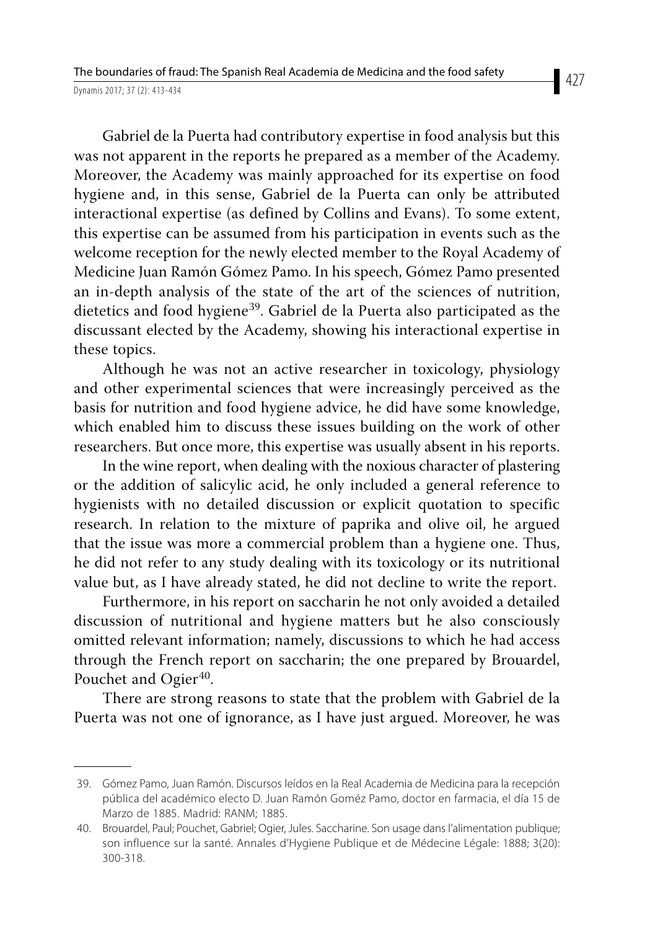Gabriel de la Puerta had contributory expertise in food analysis but this was not apparent in the reports he prepared as a member of the Academy. Moreover, the Academy was mainly approached for its expertise on food hygiene and, in this sense, Gabriel de la Puerta can only be attributed interactional expertise (as defined by Collins and Evans). To some extent, this expertise can be assumed from his participation in events such as the welcome reception for the newly elected member to the Royal Academy of Medicine Juan Ramón Gómez Pamo. In his speech, Gómez Pamo presented an in-depth analysis of the state of the art of the sciences of nutrition, dietetics and food hygiene<sup>39</sup>. Gabriel de la Puerta also participated as the discussant elected by the Academy, showing his interactional expertise in these topics.

Although he was not an active researcher in toxicology, physiology and other experimental sciences that were increasingly perceived as the basis for nutrition and food hygiene advice, he did have some knowledge, which enabled him to discuss these issues building on the work of other researchers. But once more, this expertise was usually absent in his reports.

In the wine report, when dealing with the noxious character of plastering or the addition of salicylic acid, he only included a general reference to hygienists with no detailed discussion or explicit quotation to specific research. In relation to the mixture of paprika and olive oil, he argued that the issue was more a commercial problem than a hygiene one. Thus, he did not refer to any study dealing with its toxicology or its nutritional value but, as I have already stated, he did not decline to write the report.

Furthermore, in his report on saccharin he not only avoided a detailed discussion of nutritional and hygiene matters but he also consciously omitted relevant information; namely, discussions to which he had access through the French report on saccharin; the one prepared by Brouardel, Pouchet and Ogier<sup>40</sup>.

There are strong reasons to state that the problem with Gabriel de la Puerta was not one of ignorance, as I have just argued. Moreover, he was

<sup>39.</sup> Gómez Pamo, Juan Ramón. Discursos leídos en la Real Academia de Medicina para la recepción pública del académico electo D. Juan Ramón Goméz Pamo, doctor en farmacia, el día 15 de Marzo de 1885. Madrid: RANM; 1885.

<sup>40.</sup> Brouardel, Paul; Pouchet, Gabriel; Ogier, Jules. Saccharine. Son usage dans l'alimentation publique; son influence sur la santé. Annales d'Hygiene Publique et de Médecine Légale: 1888; 3(20): 300-318.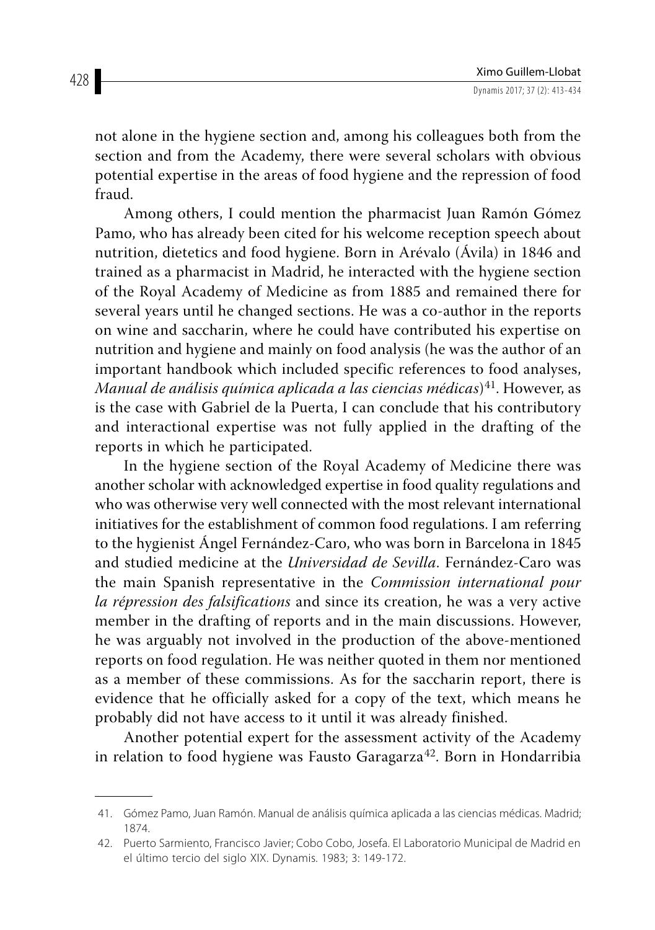not alone in the hygiene section and, among his colleagues both from the section and from the Academy, there were several scholars with obvious potential expertise in the areas of food hygiene and the repression of food fraud.

Among others, I could mention the pharmacist Juan Ramón Gómez Pamo, who has already been cited for his welcome reception speech about nutrition, dietetics and food hygiene. Born in Arévalo (Ávila) in 1846 and trained as a pharmacist in Madrid, he interacted with the hygiene section of the Royal Academy of Medicine as from 1885 and remained there for several years until he changed sections. He was a co-author in the reports on wine and saccharin, where he could have contributed his expertise on nutrition and hygiene and mainly on food analysis (he was the author of an important handbook which included specific references to food analyses, *Manual de análisis química aplicada a las ciencias médicas*)<sup>41</sup>. However, as is the case with Gabriel de la Puerta, I can conclude that his contributory and interactional expertise was not fully applied in the drafting of the reports in which he participated.

In the hygiene section of the Royal Academy of Medicine there was another scholar with acknowledged expertise in food quality regulations and who was otherwise very well connected with the most relevant international initiatives for the establishment of common food regulations. I am referring to the hygienist Ángel Fernández-Caro, who was born in Barcelona in 1845 and studied medicine at the *Universidad de Sevilla*. Fernández-Caro was the main Spanish representative in the *Commission international pour la répression des falsifications* and since its creation, he was a very active member in the drafting of reports and in the main discussions. However, he was arguably not involved in the production of the above-mentioned reports on food regulation. He was neither quoted in them nor mentioned as a member of these commissions. As for the saccharin report, there is evidence that he officially asked for a copy of the text, which means he probably did not have access to it until it was already finished.

Another potential expert for the assessment activity of the Academy in relation to food hygiene was Fausto Garagarza<sup>42</sup>. Born in Hondarribia

<sup>41.</sup> Gómez Pamo, Juan Ramón. Manual de análisis química aplicada a las ciencias médicas. Madrid; 1874.

<sup>42.</sup> Puerto Sarmiento, Francisco Javier; Cobo Cobo, Josefa. El Laboratorio Municipal de Madrid en el último tercio del siglo XIX. Dynamis. 1983; 3: 149-172.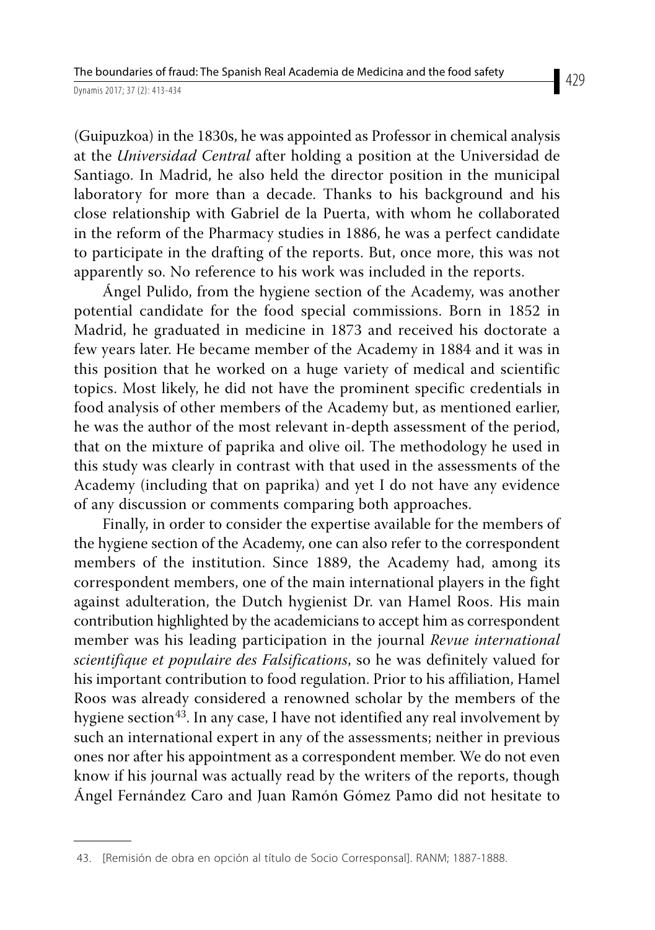(Guipuzkoa) in the 1830s, he was appointed as Professor in chemical analysis at the *Universidad Central* after holding a position at the Universidad de Santiago. In Madrid, he also held the director position in the municipal laboratory for more than a decade. Thanks to his background and his close relationship with Gabriel de la Puerta, with whom he collaborated in the reform of the Pharmacy studies in 1886, he was a perfect candidate to participate in the drafting of the reports. But, once more, this was not apparently so. No reference to his work was included in the reports.

Ángel Pulido, from the hygiene section of the Academy, was another potential candidate for the food special commissions. Born in 1852 in Madrid, he graduated in medicine in 1873 and received his doctorate a few years later. He became member of the Academy in 1884 and it was in this position that he worked on a huge variety of medical and scientific topics. Most likely, he did not have the prominent specific credentials in food analysis of other members of the Academy but, as mentioned earlier, he was the author of the most relevant in-depth assessment of the period, that on the mixture of paprika and olive oil. The methodology he used in this study was clearly in contrast with that used in the assessments of the Academy (including that on paprika) and yet I do not have any evidence of any discussion or comments comparing both approaches.

Finally, in order to consider the expertise available for the members of the hygiene section of the Academy, one can also refer to the correspondent members of the institution. Since 1889, the Academy had, among its correspondent members, one of the main international players in the fight against adulteration, the Dutch hygienist Dr. van Hamel Roos. His main contribution highlighted by the academicians to accept him as correspondent member was his leading participation in the journal *Revue international scientifique et populaire des Falsifications*, so he was definitely valued for his important contribution to food regulation. Prior to his affiliation, Hamel Roos was already considered a renowned scholar by the members of the hygiene section<sup>43</sup>. In any case, I have not identified any real involvement by such an international expert in any of the assessments; neither in previous ones nor after his appointment as a correspondent member. We do not even know if his journal was actually read by the writers of the reports, though Ángel Fernández Caro and Juan Ramón Gómez Pamo did not hesitate to

<sup>43.</sup> [Remisión de obra en opción al título de Socio Corresponsal]. RANM; 1887-1888.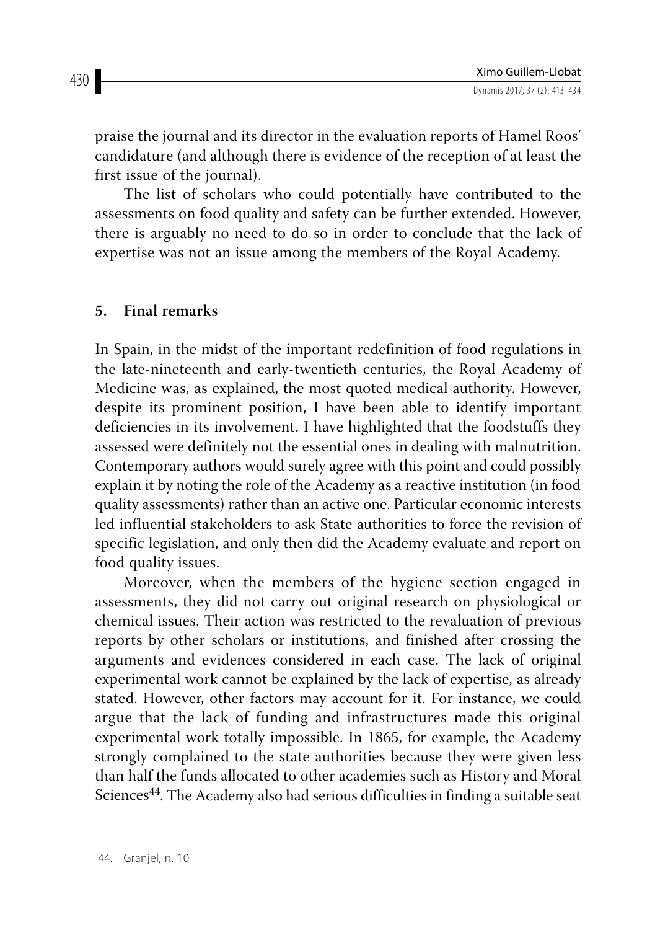praise the journal and its director in the evaluation reports of Hamel Roos' candidature (and although there is evidence of the reception of at least the first issue of the journal).

The list of scholars who could potentially have contributed to the assessments on food quality and safety can be further extended. However, there is arguably no need to do so in order to conclude that the lack of expertise was not an issue among the members of the Royal Academy.

#### **5. Final remarks**

In Spain, in the midst of the important redefinition of food regulations in the late-nineteenth and early-twentieth centuries, the Royal Academy of Medicine was, as explained, the most quoted medical authority. However, despite its prominent position, I have been able to identify important deficiencies in its involvement. I have highlighted that the foodstuffs they assessed were definitely not the essential ones in dealing with malnutrition. Contemporary authors would surely agree with this point and could possibly explain it by noting the role of the Academy as a reactive institution (in food quality assessments) rather than an active one. Particular economic interests led influential stakeholders to ask State authorities to force the revision of specific legislation, and only then did the Academy evaluate and report on food quality issues.

Moreover, when the members of the hygiene section engaged in assessments, they did not carry out original research on physiological or chemical issues. Their action was restricted to the revaluation of previous reports by other scholars or institutions, and finished after crossing the arguments and evidences considered in each case. The lack of original experimental work cannot be explained by the lack of expertise, as already stated. However, other factors may account for it. For instance, we could argue that the lack of funding and infrastructures made this original experimental work totally impossible. In 1865, for example, the Academy strongly complained to the state authorities because they were given less than half the funds allocated to other academies such as History and Moral Sciences<sup>44</sup>. The Academy also had serious difficulties in finding a suitable seat

430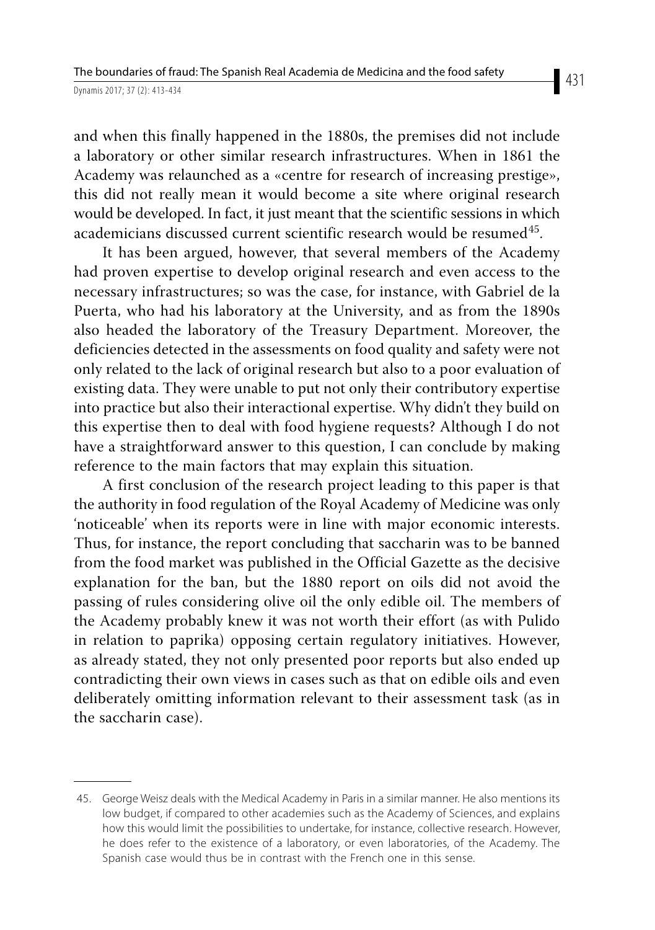and when this finally happened in the 1880s, the premises did not include a laboratory or other similar research infrastructures. When in 1861 the Academy was relaunched as a «centre for research of increasing prestige», this did not really mean it would become a site where original research would be developed. In fact, it just meant that the scientific sessions in which academicians discussed current scientific research would be resumed<sup>45</sup>.

It has been argued, however, that several members of the Academy had proven expertise to develop original research and even access to the necessary infrastructures; so was the case, for instance, with Gabriel de la Puerta, who had his laboratory at the University, and as from the 1890s also headed the laboratory of the Treasury Department. Moreover, the deficiencies detected in the assessments on food quality and safety were not only related to the lack of original research but also to a poor evaluation of existing data. They were unable to put not only their contributory expertise into practice but also their interactional expertise. Why didn't they build on this expertise then to deal with food hygiene requests? Although I do not have a straightforward answer to this question, I can conclude by making reference to the main factors that may explain this situation.

A first conclusion of the research project leading to this paper is that the authority in food regulation of the Royal Academy of Medicine was only 'noticeable' when its reports were in line with major economic interests. Thus, for instance, the report concluding that saccharin was to be banned from the food market was published in the Official Gazette as the decisive explanation for the ban, but the 1880 report on oils did not avoid the passing of rules considering olive oil the only edible oil. The members of the Academy probably knew it was not worth their effort (as with Pulido in relation to paprika) opposing certain regulatory initiatives. However, as already stated, they not only presented poor reports but also ended up contradicting their own views in cases such as that on edible oils and even deliberately omitting information relevant to their assessment task (as in the saccharin case).

<sup>45.</sup> George Weisz deals with the Medical Academy in Paris in a similar manner. He also mentions its low budget, if compared to other academies such as the Academy of Sciences, and explains how this would limit the possibilities to undertake, for instance, collective research. However, he does refer to the existence of a laboratory, or even laboratories, of the Academy. The Spanish case would thus be in contrast with the French one in this sense.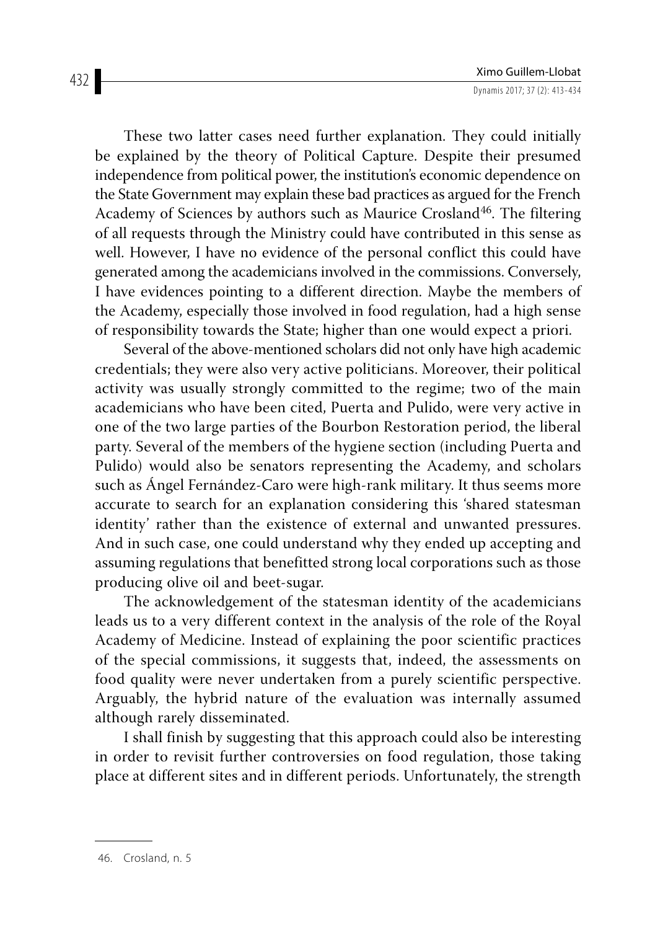These two latter cases need further explanation. They could initially be explained by the theory of Political Capture. Despite their presumed independence from political power, the institution's economic dependence on the State Government may explain these bad practices as argued for the French Academy of Sciences by authors such as Maurice Crosland<sup>46</sup>. The filtering of all requests through the Ministry could have contributed in this sense as well. However, I have no evidence of the personal conflict this could have generated among the academicians involved in the commissions. Conversely, I have evidences pointing to a different direction. Maybe the members of the Academy, especially those involved in food regulation, had a high sense of responsibility towards the State; higher than one would expect a priori.

Several of the above-mentioned scholars did not only have high academic credentials; they were also very active politicians. Moreover, their political activity was usually strongly committed to the regime; two of the main academicians who have been cited, Puerta and Pulido, were very active in one of the two large parties of the Bourbon Restoration period, the liberal party. Several of the members of the hygiene section (including Puerta and Pulido) would also be senators representing the Academy, and scholars such as Ángel Fernández-Caro were high-rank military. It thus seems more accurate to search for an explanation considering this 'shared statesman identity' rather than the existence of external and unwanted pressures. And in such case, one could understand why they ended up accepting and assuming regulations that benefitted strong local corporations such as those producing olive oil and beet-sugar.

The acknowledgement of the statesman identity of the academicians leads us to a very different context in the analysis of the role of the Royal Academy of Medicine. Instead of explaining the poor scientific practices of the special commissions, it suggests that, indeed, the assessments on food quality were never undertaken from a purely scientific perspective. Arguably, the hybrid nature of the evaluation was internally assumed although rarely disseminated.

I shall finish by suggesting that this approach could also be interesting in order to revisit further controversies on food regulation, those taking place at different sites and in different periods. Unfortunately, the strength